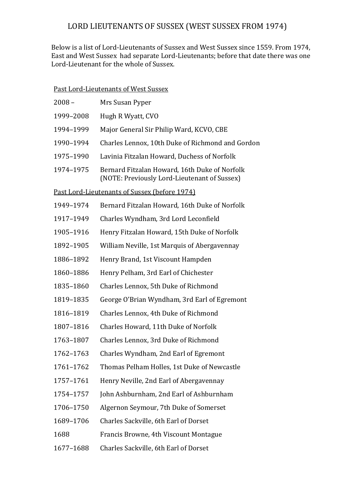## LORD LIEUTENANTS OF SUSSEX (WEST SUSSEX FROM 1974)

Below is a list of Lord-Lieutenants of Sussex and West Sussex since 1559. From 1974, East and West Sussex had separate Lord-Lieutenants; before that date there was one Lord-Lieutenant for the whole of Sussex.

## Past Lord-Lieutenants of West Sussex

| $2008 -$                                      | Mrs Susan Pyper                                                                               |  |
|-----------------------------------------------|-----------------------------------------------------------------------------------------------|--|
| 1999-2008                                     | Hugh R Wyatt, CVO                                                                             |  |
| 1994-1999                                     | Major General Sir Philip Ward, KCVO, CBE                                                      |  |
| 1990-1994                                     | Charles Lennox, 10th Duke of Richmond and Gordon                                              |  |
| 1975-1990                                     | Lavinia Fitzalan Howard, Duchess of Norfolk                                                   |  |
| 1974-1975                                     | Bernard Fitzalan Howard, 16th Duke of Norfolk<br>(NOTE: Previously Lord-Lieutenant of Sussex) |  |
| Past Lord-Lieutenants of Sussex (before 1974) |                                                                                               |  |
| 1949-1974                                     | Bernard Fitzalan Howard, 16th Duke of Norfolk                                                 |  |
| 1917-1949                                     | Charles Wyndham, 3rd Lord Leconfield                                                          |  |
| 1905-1916                                     | Henry Fitzalan Howard, 15th Duke of Norfolk                                                   |  |
| 1892-1905                                     | William Neville, 1st Marquis of Abergavennay                                                  |  |
| 1886-1892                                     | Henry Brand, 1st Viscount Hampden                                                             |  |
| 1860-1886                                     | Henry Pelham, 3rd Earl of Chichester                                                          |  |
| 1835-1860                                     | Charles Lennox, 5th Duke of Richmond                                                          |  |
| 1819-1835                                     | George O'Brian Wyndham, 3rd Earl of Egremont                                                  |  |
| 1816-1819                                     | Charles Lennox, 4th Duke of Richmond                                                          |  |
| 1807-1816                                     | Charles Howard, 11th Duke of Norfolk                                                          |  |
| 1763-1807                                     | Charles Lennox, 3rd Duke of Richmond                                                          |  |
| 1762-1763                                     | Charles Wyndham, 2nd Earl of Egremont                                                         |  |
| 1761-1762                                     | Thomas Pelham Holles, 1st Duke of Newcastle                                                   |  |
| 1757-1761                                     | Henry Neville, 2nd Earl of Abergavennay                                                       |  |
| 1754-1757                                     | John Ashburnham, 2nd Earl of Ashburnham                                                       |  |
| 1706-1750                                     | Algernon Seymour, 7th Duke of Somerset                                                        |  |
| 1689-1706                                     | Charles Sackville, 6th Earl of Dorset                                                         |  |
| 1688                                          | Francis Browne, 4th Viscount Montague                                                         |  |
| 1677-1688                                     | Charles Sackville, 6th Earl of Dorset                                                         |  |